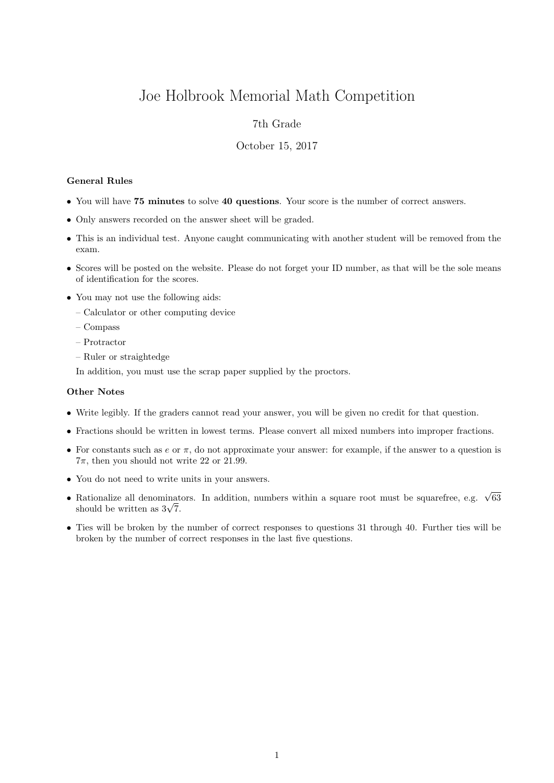# Joe Holbrook Memorial Math Competition

## 7th Grade

### October 15, 2017

#### General Rules

- You will have 75 minutes to solve 40 questions. Your score is the number of correct answers.
- Only answers recorded on the answer sheet will be graded.
- This is an individual test. Anyone caught communicating with another student will be removed from the exam.
- Scores will be posted on the website. Please do not forget your ID number, as that will be the sole means of identification for the scores.
- You may not use the following aids:
	- Calculator or other computing device
	- Compass
	- Protractor
	- Ruler or straightedge

In addition, you must use the scrap paper supplied by the proctors.

#### Other Notes

- Write legibly. If the graders cannot read your answer, you will be given no credit for that question.
- Fractions should be written in lowest terms. Please convert all mixed numbers into improper fractions.
- For constants such as  $e$  or  $\pi$ , do not approximate your answer: for example, if the answer to a question is  $7\pi$ , then you should not write 22 or 21.99.
- You do not need to write units in your answers.
- Rationalize all denominators. In addition, numbers within a square root must be squarefree, e.g.  $\sqrt{63}$  $\kappa$ ationalize all denominat<br>should be written as  $3\sqrt{7}$ .
- Ties will be broken by the number of correct responses to questions 31 through 40. Further ties will be broken by the number of correct responses in the last five questions.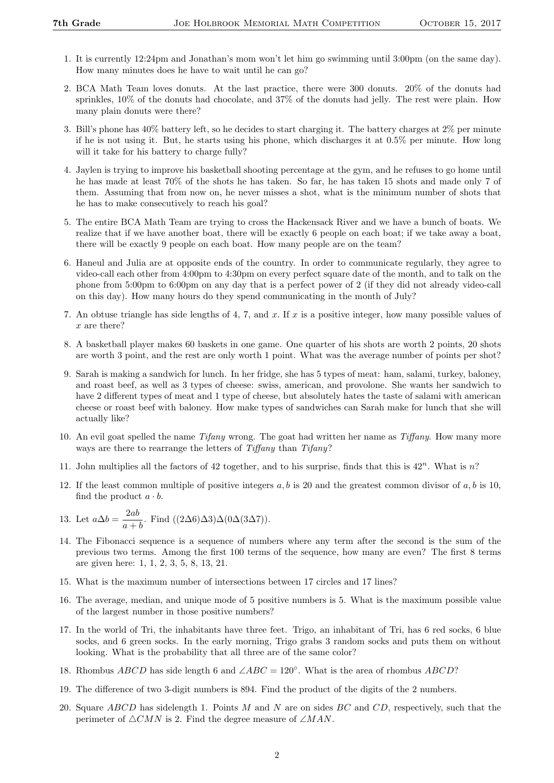- 1. It is currently 12:24pm and Jonathan's mom won't let him go swimming until 3:00pm (on the same day). How many minutes does he have to wait until he can go?
- 2. BCA Math Team loves donuts. At the last practice, there were 300 donuts. 20% of the donuts had sprinkles, 10% of the donuts had chocolate, and 37% of the donuts had jelly. The rest were plain. How many plain donuts were there?
- 3. Bill's phone has 40% battery left, so he decides to start charging it. The battery charges at 2% per minute if he is not using it. But, he starts using his phone, which discharges it at 0.5% per minute. How long will it take for his battery to charge fully?
- 4. Jaylen is trying to improve his basketball shooting percentage at the gym, and he refuses to go home until he has made at least 70% of the shots he has taken. So far, he has taken 15 shots and made only 7 of them. Assuming that from now on, he never misses a shot, what is the minimum number of shots that he has to make consecutively to reach his goal?
- 5. The entire BCA Math Team are trying to cross the Hackensack River and we have a bunch of boats. We realize that if we have another boat, there will be exactly 6 people on each boat; if we take away a boat, there will be exactly 9 people on each boat. How many people are on the team?
- 6. Haneul and Julia are at opposite ends of the country. In order to communicate regularly, they agree to video-call each other from 4:00pm to 4:30pm on every perfect square date of the month, and to talk on the phone from 5:00pm to 6:00pm on any day that is a perfect power of 2 (if they did not already video-call on this day). How many hours do they spend communicating in the month of July?
- 7. An obtuse triangle has side lengths of 4, 7, and x. If x is a positive integer, how many possible values of x are there?
- 8. A basketball player makes 60 baskets in one game. One quarter of his shots are worth 2 points, 20 shots are worth 3 point, and the rest are only worth 1 point. What was the average number of points per shot?
- 9. Sarah is making a sandwich for lunch. In her fridge, she has 5 types of meat: ham, salami, turkey, baloney, and roast beef, as well as 3 types of cheese: swiss, american, and provolone. She wants her sandwich to have 2 different types of meat and 1 type of cheese, but absolutely hates the taste of salami with american cheese or roast beef with baloney. How make types of sandwiches can Sarah make for lunch that she will actually like?
- 10. An evil goat spelled the name Tifany wrong. The goat had written her name as Tiffany. How many more ways are there to rearrange the letters of Tiffany than Tifany?
- 11. John multiplies all the factors of 42 together, and to his surprise, finds that this is  $42^n$ . What is n?
- 12. If the least common multiple of positive integers  $a, b$  is 20 and the greatest common divisor of  $a, b$  is 10, find the product  $a \cdot b$ .
- 13. Let  $a\Delta b = \frac{2ab}{a}$  $\frac{2ac}{a+b}$ . Find ((2∆6)∆3)∆(0∆(3∆7)).
- 14. The Fibonacci sequence is a sequence of numbers where any term after the second is the sum of the previous two terms. Among the first 100 terms of the sequence, how many are even? The first 8 terms are given here: 1, 1, 2, 3, 5, 8, 13, 21.
- 15. What is the maximum number of intersections between 17 circles and 17 lines?
- 16. The average, median, and unique mode of 5 positive numbers is 5. What is the maximum possible value of the largest number in those positive numbers?
- 17. In the world of Tri, the inhabitants have three feet. Trigo, an inhabitant of Tri, has 6 red socks, 6 blue socks, and 6 green socks. In the early morning, Trigo grabs 3 random socks and puts them on without looking. What is the probability that all three are of the same color?
- 18. Rhombus ABCD has side length 6 and  $\angle ABC = 120^\circ$ . What is the area of rhombus ABCD?
- 19. The difference of two 3-digit numbers is 894. Find the product of the digits of the 2 numbers.
- 20. Square  $ABCD$  has sidelength 1. Points  $M$  and  $N$  are on sides  $BC$  and  $CD$ , respectively, such that the perimeter of  $\triangle CMN$  is 2. Find the degree measure of ∠MAN.